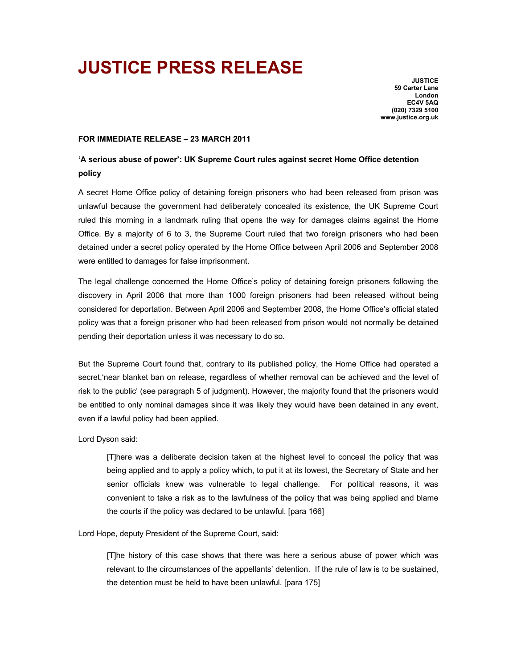# **JUSTICE PRESS RELEASE**

**JUSTICE 59 Carter Lane London EC4V 5AQ (020) 7329 5100 www.justice.org.uk** 

# **FOR IMMEDIATE RELEASE – 23 MARCH 2011**

# **'A serious abuse of power': UK Supreme Court rules against secret Home Office detention policy**

A secret Home Office policy of detaining foreign prisoners who had been released from prison was unlawful because the government had deliberately concealed its existence, the UK Supreme Court ruled this morning in a landmark ruling that opens the way for damages claims against the Home Office. By a majority of 6 to 3, the Supreme Court ruled that two foreign prisoners who had been detained under a secret policy operated by the Home Office between April 2006 and September 2008 were entitled to damages for false imprisonment.

The legal challenge concerned the Home Office's policy of detaining foreign prisoners following the discovery in April 2006 that more than 1000 foreign prisoners had been released without being considered for deportation. Between April 2006 and September 2008, the Home Office's official stated policy was that a foreign prisoner who had been released from prison would not normally be detained pending their deportation unless it was necessary to do so.

But the Supreme Court found that, contrary to its published policy, the Home Office had operated a secret,'near blanket ban on release, regardless of whether removal can be achieved and the level of risk to the public' (see paragraph 5 of judgment). However, the majority found that the prisoners would be entitled to only nominal damages since it was likely they would have been detained in any event, even if a lawful policy had been applied.

# Lord Dyson said:

[T]here was a deliberate decision taken at the highest level to conceal the policy that was being applied and to apply a policy which, to put it at its lowest, the Secretary of State and her senior officials knew was vulnerable to legal challenge. For political reasons, it was convenient to take a risk as to the lawfulness of the policy that was being applied and blame the courts if the policy was declared to be unlawful. [para 166]

Lord Hope, deputy President of the Supreme Court, said:

[T]he history of this case shows that there was here a serious abuse of power which was relevant to the circumstances of the appellants' detention. If the rule of law is to be sustained, the detention must be held to have been unlawful. [para 175]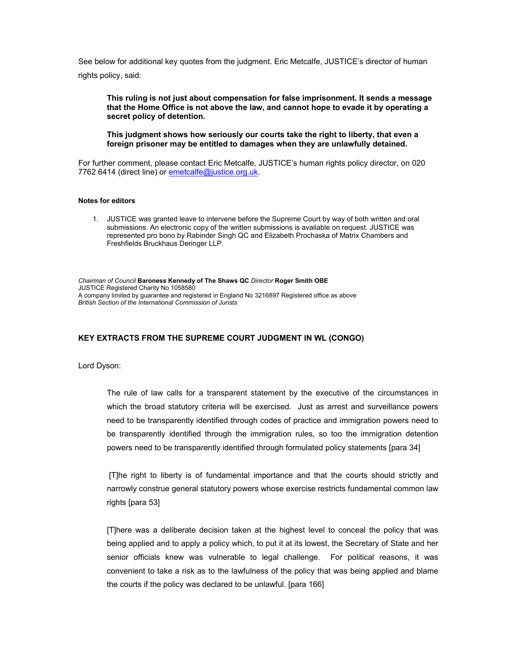See below for additional key quotes from the judgment. Eric Metcalfe, JUSTICE's director of human rights policy, said:

**This ruling is not just about compensation for false imprisonment. It sends a message that the Home Office is not above the law, and cannot hope to evade it by operating a secret policy of detention.** 

**This judgment shows how seriously our courts take the right to liberty, that even a foreign prisoner may be entitled to damages when they are unlawfully detained.** 

For further comment, please contact Eric Metcalfe, JUSTICE's human rights policy director, on 020 7762 6414 (direct line) or emetcalfe@justice.org.uk.

#### **Notes for editors**

1. JUSTICE was granted leave to intervene before the Supreme Court by way of both written and oral submissions. An electronic copy of the written submissions is available on request. JUSTICE was represented pro bono by Rabinder Singh QC and Elizabeth Prochaska of Matrix Chambers and Freshfields Bruckhaus Deringer LLP.

*Chairman of Council* **Baroness Kennedy of The Shaws QC** *Director* **Roger Smith OBE**  JUSTICE Registered Charity No 1058580 A company limited by guarantee and registered in England No 3216897 Registered office as above *British Section of the International Commission of Jurists* 

### **KEY EXTRACTS FROM THE SUPREME COURT JUDGMENT IN WL (CONGO)**

Lord Dyson:

The rule of law calls for a transparent statement by the executive of the circumstances in which the broad statutory criteria will be exercised. Just as arrest and surveillance powers need to be transparently identified through codes of practice and immigration powers need to be transparently identified through the immigration rules, so too the immigration detention powers need to be transparently identified through formulated policy statements [para 34]

 [T]he right to liberty is of fundamental importance and that the courts should strictly and narrowly construe general statutory powers whose exercise restricts fundamental common law rights [para 53]

[T]here was a deliberate decision taken at the highest level to conceal the policy that was being applied and to apply a policy which, to put it at its lowest, the Secretary of State and her senior officials knew was vulnerable to legal challenge. For political reasons, it was convenient to take a risk as to the lawfulness of the policy that was being applied and blame the courts if the policy was declared to be unlawful. [para 166]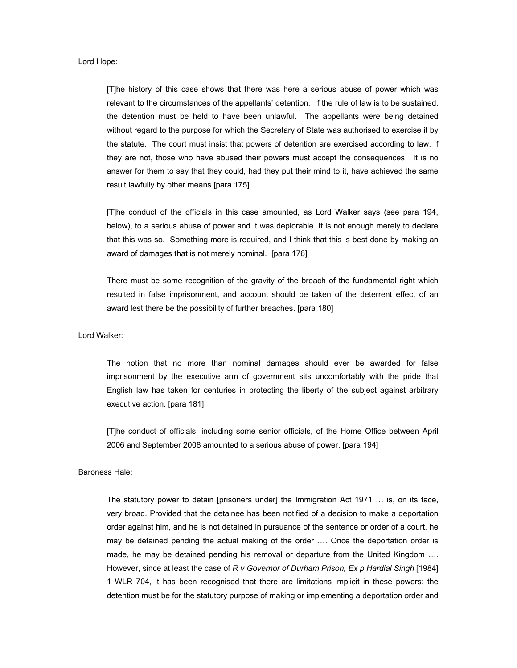Lord Hope:

[T]he history of this case shows that there was here a serious abuse of power which was relevant to the circumstances of the appellants' detention. If the rule of law is to be sustained, the detention must be held to have been unlawful. The appellants were being detained without regard to the purpose for which the Secretary of State was authorised to exercise it by the statute. The court must insist that powers of detention are exercised according to law. If they are not, those who have abused their powers must accept the consequences. It is no answer for them to say that they could, had they put their mind to it, have achieved the same result lawfully by other means.[para 175]

[T]he conduct of the officials in this case amounted, as Lord Walker says (see para 194, below), to a serious abuse of power and it was deplorable. It is not enough merely to declare that this was so. Something more is required, and I think that this is best done by making an award of damages that is not merely nominal. [para 176]

There must be some recognition of the gravity of the breach of the fundamental right which resulted in false imprisonment, and account should be taken of the deterrent effect of an award lest there be the possibility of further breaches. [para 180]

Lord Walker:

The notion that no more than nominal damages should ever be awarded for false imprisonment by the executive arm of government sits uncomfortably with the pride that English law has taken for centuries in protecting the liberty of the subject against arbitrary executive action. [para 181]

[T]he conduct of officials, including some senior officials, of the Home Office between April 2006 and September 2008 amounted to a serious abuse of power. [para 194]

# Baroness Hale:

The statutory power to detain [prisoners under] the Immigration Act 1971 … is, on its face, very broad. Provided that the detainee has been notified of a decision to make a deportation order against him, and he is not detained in pursuance of the sentence or order of a court, he may be detained pending the actual making of the order …. Once the deportation order is made, he may be detained pending his removal or departure from the United Kingdom …. However, since at least the case of *R v Governor of Durham Prison, Ex p Hardial Singh* [1984] 1 WLR 704, it has been recognised that there are limitations implicit in these powers: the detention must be for the statutory purpose of making or implementing a deportation order and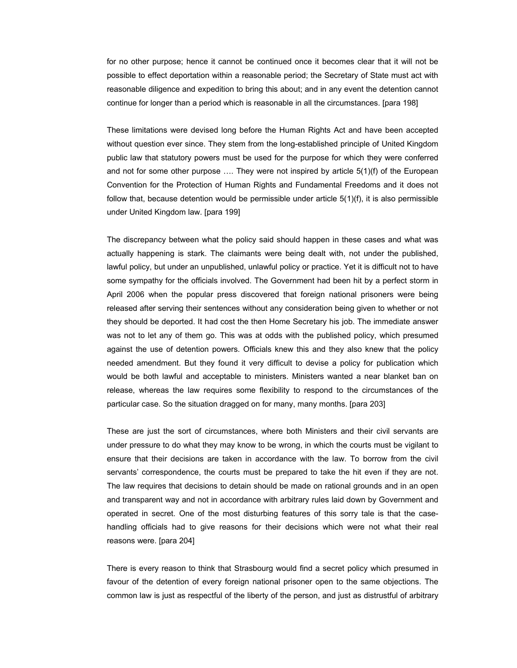for no other purpose; hence it cannot be continued once it becomes clear that it will not be possible to effect deportation within a reasonable period; the Secretary of State must act with reasonable diligence and expedition to bring this about; and in any event the detention cannot continue for longer than a period which is reasonable in all the circumstances. [para 198]

These limitations were devised long before the Human Rights Act and have been accepted without question ever since. They stem from the long-established principle of United Kingdom public law that statutory powers must be used for the purpose for which they were conferred and not for some other purpose …. They were not inspired by article 5(1)(f) of the European Convention for the Protection of Human Rights and Fundamental Freedoms and it does not follow that, because detention would be permissible under article  $5(1)(f)$ , it is also permissible under United Kingdom law. [para 199]

The discrepancy between what the policy said should happen in these cases and what was actually happening is stark. The claimants were being dealt with, not under the published, lawful policy, but under an unpublished, unlawful policy or practice. Yet it is difficult not to have some sympathy for the officials involved. The Government had been hit by a perfect storm in April 2006 when the popular press discovered that foreign national prisoners were being released after serving their sentences without any consideration being given to whether or not they should be deported. It had cost the then Home Secretary his job. The immediate answer was not to let any of them go. This was at odds with the published policy, which presumed against the use of detention powers. Officials knew this and they also knew that the policy needed amendment. But they found it very difficult to devise a policy for publication which would be both lawful and acceptable to ministers. Ministers wanted a near blanket ban on release, whereas the law requires some flexibility to respond to the circumstances of the particular case. So the situation dragged on for many, many months. [para 203]

These are just the sort of circumstances, where both Ministers and their civil servants are under pressure to do what they may know to be wrong, in which the courts must be vigilant to ensure that their decisions are taken in accordance with the law. To borrow from the civil servants' correspondence, the courts must be prepared to take the hit even if they are not. The law requires that decisions to detain should be made on rational grounds and in an open and transparent way and not in accordance with arbitrary rules laid down by Government and operated in secret. One of the most disturbing features of this sorry tale is that the casehandling officials had to give reasons for their decisions which were not what their real reasons were. [para 204]

There is every reason to think that Strasbourg would find a secret policy which presumed in favour of the detention of every foreign national prisoner open to the same objections. The common law is just as respectful of the liberty of the person, and just as distrustful of arbitrary